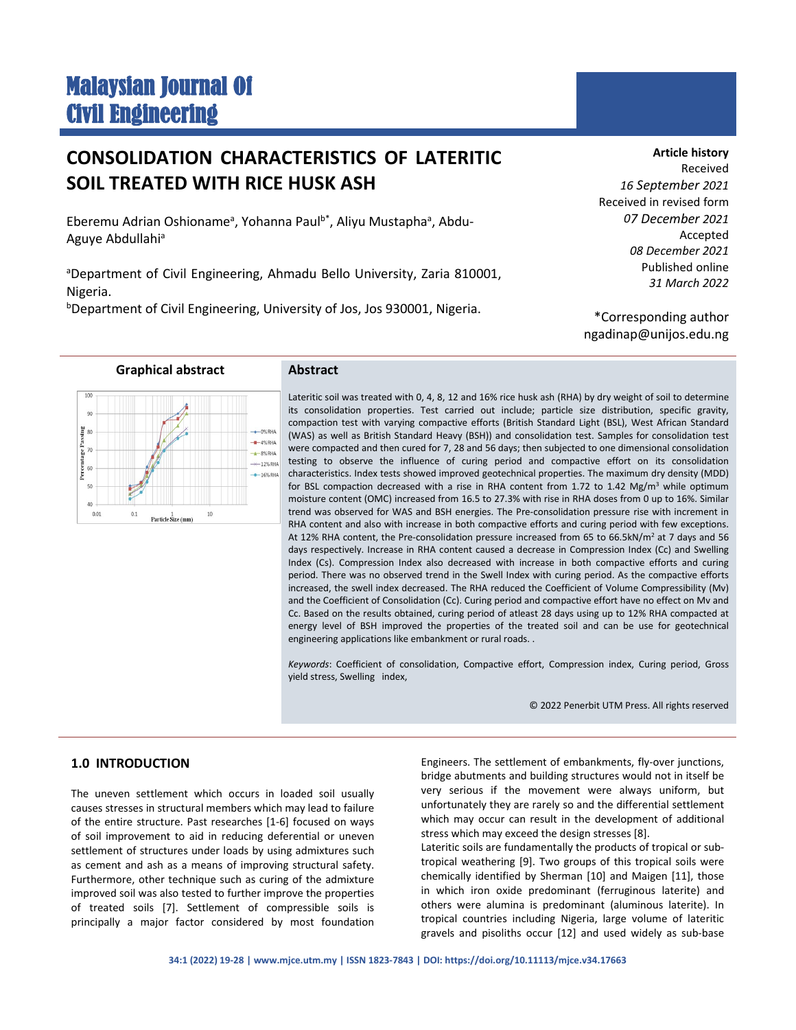# Malaysian Journal Of Civil Engineering

# **CONSOLIDATION CHARACTERISTICS OF LATERITIC SOIL TREATED WITH RICE HUSK ASH**

Eberemu Adrian Oshioname<sup>a</sup>, Yohanna Paul<sup>b\*</sup>, Aliyu Mustapha<sup>a</sup>, Abdu-Aguye Abdullahi<sup>a</sup>

<sup>a</sup>Department of Civil Engineering, Ahmadu Bello University, Zaria 810001, Nigeria.

b Department of Civil Engineering, University of Jos, Jos 930001, Nigeria.

**Article history** Received *16 September 2021* Received in revised form *07 December 2021* Accepted *08 December 2021* Published online *31 March 2022*

\*Corresponding author ngadinap@unijos.edu.ng

**Graphical abstract Abstract**

Lateritic soil was treated with 0, 4, 8, 12 and 16% rice husk ash (RHA) by dry weight of soil to determine its consolidation properties. Test carried out include; particle size distribution, specific gravity, compaction test with varying compactive efforts (British Standard Light (BSL), West African Standard (WAS) as well as British Standard Heavy (BSH)) and consolidation test. Samples for consolidation test were compacted and then cured for 7, 28 and 56 days; then subjected to one dimensional consolidation testing to observe the influence of curing period and compactive effort on its consolidation characteristics. Index tests showed improved geotechnical properties. The maximum dry density (MDD) for BSL compaction decreased with a rise in RHA content from 1.72 to 1.42 Mg/m<sup>3</sup> while optimum moisture content (OMC) increased from 16.5 to 27.3% with rise in RHA doses from 0 up to 16%. Similar trend was observed for WAS and BSH energies. The Pre-consolidation pressure rise with increment in RHA content and also with increase in both compactive efforts and curing period with few exceptions. At 12% RHA content, the Pre-consolidation pressure increased from 65 to 66.5kN/m<sup>2</sup> at 7 days and 56 days respectively. Increase in RHA content caused a decrease in Compression Index (Cc) and Swelling Index (Cs). Compression Index also decreased with increase in both compactive efforts and curing period. There was no observed trend in the Swell Index with curing period. As the compactive efforts increased, the swell index decreased. The RHA reduced the Coefficient of Volume Compressibility (Mv) and the Coefficient of Consolidation (Cc). Curing period and compactive effort have no effect on Mv and Cc. Based on the results obtained, curing period of atleast 28 days using up to 12% RHA compacted at energy level of BSH improved the properties of the treated soil and can be use for geotechnical engineering applications like embankment or rural roads. .

*Keywords*: Coefficient of consolidation, Compactive effort, Compression index, Curing period, Gross yield stress, Swelling index,

© 2022 Penerbit UTM Press. All rights reserved

# **1.0 INTRODUCTION**

The uneven settlement which occurs in loaded soil usually causes stresses in structural members which may lead to failure of the entire structure. Past researches [1-6] focused on ways of soil improvement to aid in reducing deferential or uneven settlement of structures under loads by using admixtures such as cement and ash as a means of improving structural safety. Furthermore, other technique such as curing of the admixture improved soil was also tested to further improve the properties of treated soils [7]. Settlement of compressible soils is principally a major factor considered by most foundation Engineers. The settlement of embankments, fly-over junctions, bridge abutments and building structures would not in itself be very serious if the movement were always uniform, but unfortunately they are rarely so and the differential settlement which may occur can result in the development of additional stress which may exceed the design stresses [8].

Lateritic soils are fundamentally the products of tropical or subtropical weathering [9]. Two groups of this tropical soils were chemically identified by Sherman [10] and Maigen [11], those in which iron oxide predominant (ferruginous laterite) and others were alumina is predominant (aluminous laterite). In tropical countries including Nigeria, large volume of lateritic gravels and pisoliths occur [12] and used widely as sub-base

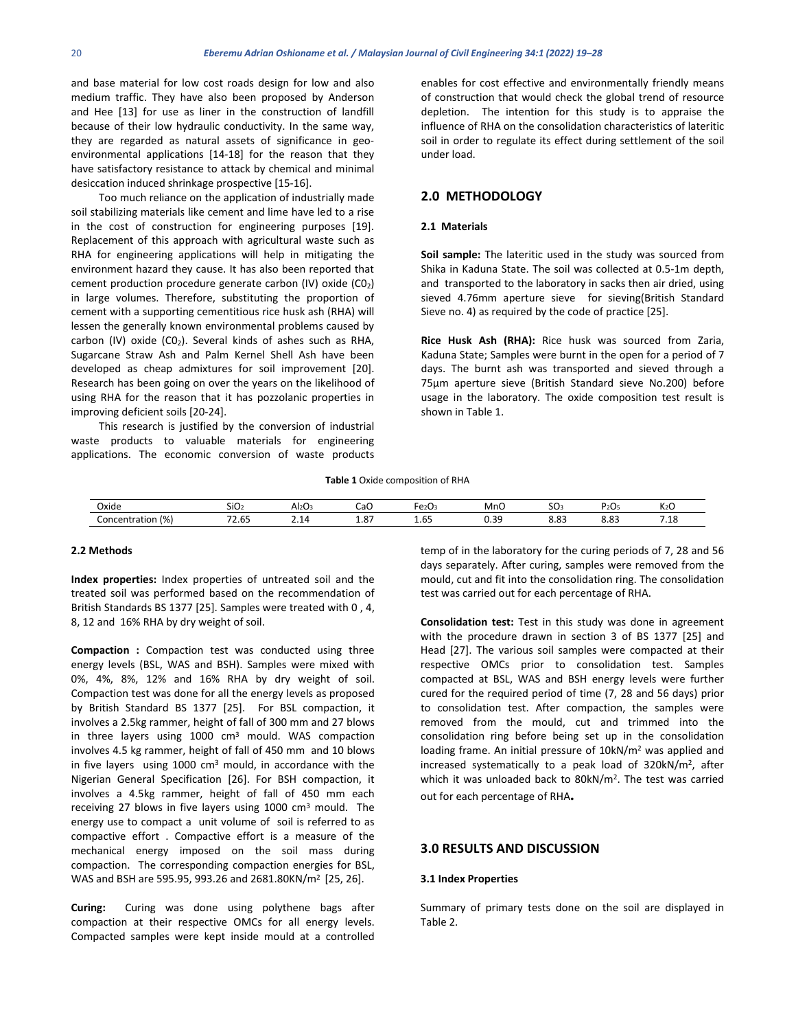and base material for low cost roads design for low and also medium traffic. They have also been proposed by Anderson and Hee [13] for use as liner in the construction of landfill because of their low hydraulic conductivity. In the same way, they are regarded as natural assets of significance in geoenvironmental applications [14-18] for the reason that they have satisfactory resistance to attack by chemical and minimal desiccation induced shrinkage prospective [15-16].

Too much reliance on the application of industrially made soil stabilizing materials like cement and lime have led to a rise in the cost of construction for engineering purposes [19]. Replacement of this approach with agricultural waste such as RHA for engineering applications will help in mitigating the environment hazard they cause. It has also been reported that cement production procedure generate carbon (IV) oxide (C02) in large volumes. Therefore, substituting the proportion of cement with a supporting cementitious rice husk ash (RHA) will lessen the generally known environmental problems caused by carbon (IV) oxide (CO<sub>2</sub>). Several kinds of ashes such as RHA, Sugarcane Straw Ash and Palm Kernel Shell Ash have been developed as cheap admixtures for soil improvement [20]. Research has been going on over the years on the likelihood of using RHA for the reason that it has pozzolanic properties in improving deficient soils [20-24].

This research is justified by the conversion of industrial waste products to valuable materials for engineering applications. The economic conversion of waste products enables for cost effective and environmentally friendly means of construction that would check the global trend of resource depletion. The intention for this study is to appraise the influence of RHA on the consolidation characteristics of lateritic soil in order to regulate its effect during settlement of the soil under load.

# **2.0 METHODOLOGY**

#### **2.1 Materials**

**Soil sample:** The lateritic used in the study was sourced from Shika in Kaduna State. The soil was collected at 0.5-1m depth, and transported to the laboratory in sacks then air dried, using sieved 4.76mm aperture sieve for sieving(British Standard Sieve no. 4) as required by the code of practice [25].

**Rice Husk Ash (RHA):** Rice husk was sourced from Zaria, Kaduna State; Samples were burnt in the open for a period of 7 days. The burnt ash was transported and sieved through a 75µm aperture sieve (British Standard sieve No.200) before usage in the laboratory. The oxide composition test result is shown in Table 1.

**Table 1** Oxide composition of RHA

| Oxide                                                      | SiO.                                               | בשגור | CaC                              | -2U°                                     | MnC                          | - -<br>ישכ          | -<br><b>.</b><br>2∪ | K2C                         |
|------------------------------------------------------------|----------------------------------------------------|-------|----------------------------------|------------------------------------------|------------------------------|---------------------|---------------------|-----------------------------|
| $\overline{\phantom{a}}$<br>Concentration<br>$\frac{1}{2}$ | $\sim$ $\sim$<br>$\sim$ $\sim$<br>ь<br>د ۲.۰<br>__ | .     | $\sim$ $-$<br>ъ.<br>1.O/<br>____ | $\sim$ $\sim$<br><u>. </u><br>⊥.∪ا<br>__ | $\sim$<br><b></b> .<br>- - - | o-<br>0.03<br>- - - | ററ<br>0.03<br>- - - | -<br>$\overline{ }$<br>. ۱۵ |

## **2.2 Methods**

**Index properties:** Index properties of untreated soil and the treated soil was performed based on the recommendation of British Standards BS 1377 [25]. Samples were treated with 0 , 4, 8, 12 and 16% RHA by dry weight of soil.

**Compaction :** Compaction test was conducted using three energy levels (BSL, WAS and BSH). Samples were mixed with 0%, 4%, 8%, 12% and 16% RHA by dry weight of soil. Compaction test was done for all the energy levels as proposed by British Standard BS 1377 [25]. For BSL compaction, it involves a 2.5kg rammer, height of fall of 300 mm and 27 blows in three layers using  $1000 \, \text{cm}^3$  mould. WAS compaction involves 4.5 kg rammer, height of fall of 450 mm and 10 blows in five layers using  $1000 \text{ cm}^3$  mould, in accordance with the Nigerian General Specification [26]. For BSH compaction, it involves a 4.5kg rammer, height of fall of 450 mm each receiving 27 blows in five layers using 1000 cm<sup>3</sup> mould. The energy use to compact a unit volume of soil is referred to as compactive effort . Compactive effort is a measure of the mechanical energy imposed on the soil mass during compaction. The corresponding compaction energies for BSL, WAS and BSH are 595.95, 993.26 and 2681.80KN/m2 [25, 26].

**Curing:** Curing was done using polythene bags after compaction at their respective OMCs for all energy levels. Compacted samples were kept inside mould at a controlled temp of in the laboratory for the curing periods of 7, 28 and 56 days separately. After curing, samples were removed from the mould, cut and fit into the consolidation ring. The consolidation test was carried out for each percentage of RHA.

**Consolidation test:** Test in this study was done in agreement with the procedure drawn in section 3 of BS 1377 [25] and Head [27]. The various soil samples were compacted at their respective OMCs prior to consolidation test. Samples compacted at BSL, WAS and BSH energy levels were further cured for the required period of time (7, 28 and 56 days) prior to consolidation test. After compaction, the samples were removed from the mould, cut and trimmed into the consolidation ring before being set up in the consolidation loading frame. An initial pressure of 10kN/m2 was applied and increased systematically to a peak load of 320kN/m2, after which it was unloaded back to 80kN/m2. The test was carried out for each percentage of RHA**.**

### **3.0 RESULTS AND DISCUSSION**

#### **3.1 Index Properties**

Summary of primary tests done on the soil are displayed in Table 2.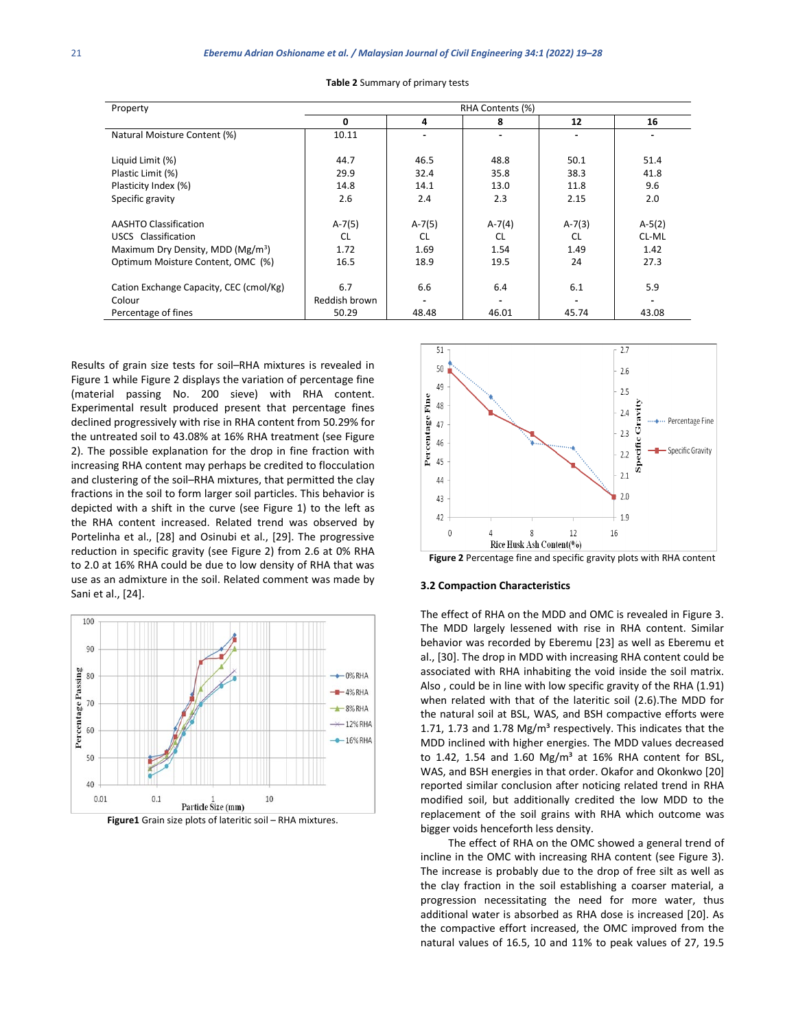| Property                                      | RHA Contents (%) |           |                          |               |          |  |  |  |
|-----------------------------------------------|------------------|-----------|--------------------------|---------------|----------|--|--|--|
|                                               | 0                | 4         | 8                        | 12            | 16       |  |  |  |
| Natural Moisture Content (%)                  | 10.11            |           |                          |               |          |  |  |  |
| Liquid Limit (%)                              | 44.7             | 46.5      | 48.8                     | 50.1          | 51.4     |  |  |  |
| Plastic Limit (%)                             | 29.9             | 32.4      | 35.8                     | 38.3          | 41.8     |  |  |  |
| Plasticity Index (%)                          | 14.8             | 14.1      | 13.0                     | 11.8          | 9.6      |  |  |  |
| Specific gravity                              | 2.6              | 2.4       | 2.3                      | 2.15          | 2.0      |  |  |  |
| <b>AASHTO Classification</b>                  | $A-7(5)$         | $A-7(5)$  | $A - 7(4)$               | $A-7(3)$      | $A-5(2)$ |  |  |  |
| USCS Classification                           | <b>CL</b>        | <b>CL</b> | <b>CL</b>                | <sub>CL</sub> | CL-ML    |  |  |  |
| Maximum Dry Density, MDD (Mg/m <sup>3</sup> ) | 1.72             | 1.69      | 1.54                     | 1.49          | 1.42     |  |  |  |
| Optimum Moisture Content, OMC (%)             | 16.5             | 18.9      | 19.5                     | 24            | 27.3     |  |  |  |
| Cation Exchange Capacity, CEC (cmol/Kg)       | 6.7              | 6.6       | 6.4                      | 6.1           | 5.9      |  |  |  |
| Colour                                        | Reddish brown    |           | $\overline{\phantom{0}}$ |               |          |  |  |  |
| Percentage of fines                           | 50.29            | 48.48     | 46.01                    | 45.74         | 43.08    |  |  |  |

**Table 2** Summary of primary tests

Results of grain size tests for soil–RHA mixtures is revealed in Figure 1 while Figure 2 displays the variation of percentage fine (material passing No. 200 sieve) with RHA content. Experimental result produced present that percentage fines declined progressively with rise in RHA content from 50.29% for the untreated soil to 43.08% at 16% RHA treatment (see Figure 2). The possible explanation for the drop in fine fraction with increasing RHA content may perhaps be credited to flocculation and clustering of the soil–RHA mixtures, that permitted the clay fractions in the soil to form larger soil particles. This behavior is depicted with a shift in the curve (see Figure 1) to the left as the RHA content increased. Related trend was observed by Portelinha et al., [28] and Osinubi et al., [29]. The progressive reduction in specific gravity (see Figure 2) from 2.6 at 0% RHA to 2.0 at 16% RHA could be due to low density of RHA that was use as an admixture in the soil. Related comment was made by Sani et al., [24].



**Figure1** Grain size plots of lateritic soil – RHA mixtures.



#### **Figure 2** Percentage fine and specific gravity plots with RHA content

#### **3.2 Compaction Characteristics**

The effect of RHA on the MDD and OMC is revealed in Figure 3. The MDD largely lessened with rise in RHA content. Similar behavior was recorded by Eberemu [23] as well as Eberemu et al., [30]. The drop in MDD with increasing RHA content could be associated with RHA inhabiting the void inside the soil matrix. Also , could be in line with low specific gravity of the RHA (1.91) when related with that of the lateritic soil (2.6).The MDD for the natural soil at BSL, WAS, and BSH compactive efforts were 1.71, 1.73 and 1.78 Mg/ $m<sup>3</sup>$  respectively. This indicates that the MDD inclined with higher energies. The MDD values decreased to 1.42, 1.54 and 1.60 Mg/m<sup>3</sup> at 16% RHA content for BSL, WAS, and BSH energies in that order. Okafor and Okonkwo [20] reported similar conclusion after noticing related trend in RHA modified soil, but additionally credited the low MDD to the replacement of the soil grains with RHA which outcome was bigger voids henceforth less density.

The effect of RHA on the OMC showed a general trend of incline in the OMC with increasing RHA content (see Figure 3). The increase is probably due to the drop of free silt as well as the clay fraction in the soil establishing a coarser material, a progression necessitating the need for more water, thus additional water is absorbed as RHA dose is increased [20]. As the compactive effort increased, the OMC improved from the natural values of 16.5, 10 and 11% to peak values of 27, 19.5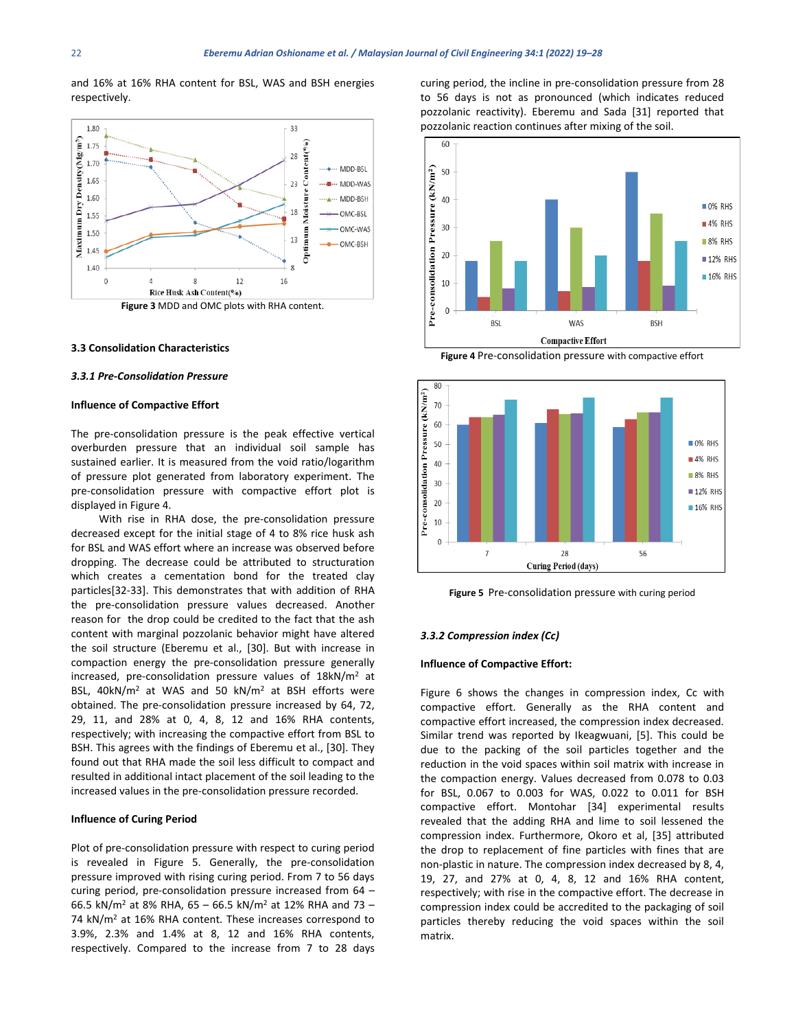and 16% at 16% RHA content for BSL, WAS and BSH energies respectively.



# **3.3 Consolidation Characteristics**

#### *3.3.1 Pre-Consolidation Pressure*

#### **Influence of Compactive Effort**

The pre-consolidation pressure is the peak effective vertical overburden pressure that an individual soil sample has sustained earlier. It is measured from the void ratio/logarithm of pressure plot generated from laboratory experiment. The pre-consolidation pressure with compactive effort plot is displayed in Figure 4.

With rise in RHA dose, the pre-consolidation pressure decreased except for the initial stage of 4 to 8% rice husk ash for BSL and WAS effort where an increase was observed before dropping. The decrease could be attributed to structuration which creates a cementation bond for the treated clay particles[32-33]. This demonstrates that with addition of RHA the pre-consolidation pressure values decreased. Another reason for the drop could be credited to the fact that the ash content with marginal pozzolanic behavior might have altered the soil structure (Eberemu et al., [30]. But with increase in compaction energy the pre-consolidation pressure generally increased, pre-consolidation pressure values of 18kN/m2 at BSL, 40kN/m2 at WAS and 50 kN/m2 at BSH efforts were obtained. The pre-consolidation pressure increased by 64, 72, 29, 11, and 28% at 0, 4, 8, 12 and 16% RHA contents, respectively; with increasing the compactive effort from BSL to BSH. This agrees with the findings of Eberemu et al., [30]. They found out that RHA made the soil less difficult to compact and resulted in additional intact placement of the soil leading to the increased values in the pre-consolidation pressure recorded.

#### **Influence of Curing Period**

Plot of pre-consolidation pressure with respect to curing period is revealed in Figure 5. Generally, the pre-consolidation pressure improved with rising curing period. From 7 to 56 days curing period, pre-consolidation pressure increased from 64 – 66.5 kN/m<sup>2</sup> at 8% RHA, 65 – 66.5 kN/m<sup>2</sup> at 12% RHA and 73 – 74 kN/m<sup>2</sup> at 16% RHA content. These increases correspond to 3.9%, 2.3% and 1.4% at 8, 12 and 16% RHA contents, respectively. Compared to the increase from 7 to 28 days curing period, the incline in pre-consolidation pressure from 28 to 56 days is not as pronounced (which indicates reduced pozzolanic reactivity). Eberemu and Sada [31] reported that pozzolanic reaction continues after mixing of the soil.



**Figure 4** Pre-consolidation pressure with compactive effort



**Figure 5** Pre-consolidation pressure with curing period

### *3.3.2 Compression index (Cc)*

#### **Influence of Compactive Effort:**

Figure 6 shows the changes in compression index, Cc with compactive effort. Generally as the RHA content and compactive effort increased, the compression index decreased. Similar trend was reported by Ikeagwuani, [5]. This could be due to the packing of the soil particles together and the reduction in the void spaces within soil matrix with increase in the compaction energy. Values decreased from 0.078 to 0.03 for BSL, 0.067 to 0.003 for WAS, 0.022 to 0.011 for BSH compactive effort. Montohar [34] experimental results revealed that the adding RHA and lime to soil lessened the compression index. Furthermore, Okoro et al, [35] attributed the drop to replacement of fine particles with fines that are non-plastic in nature. The compression index decreased by 8, 4, 19, 27, and 27% at 0, 4, 8, 12 and 16% RHA content, respectively; with rise in the compactive effort. The decrease in compression index could be accredited to the packaging of soil particles thereby reducing the void spaces within the soil matrix.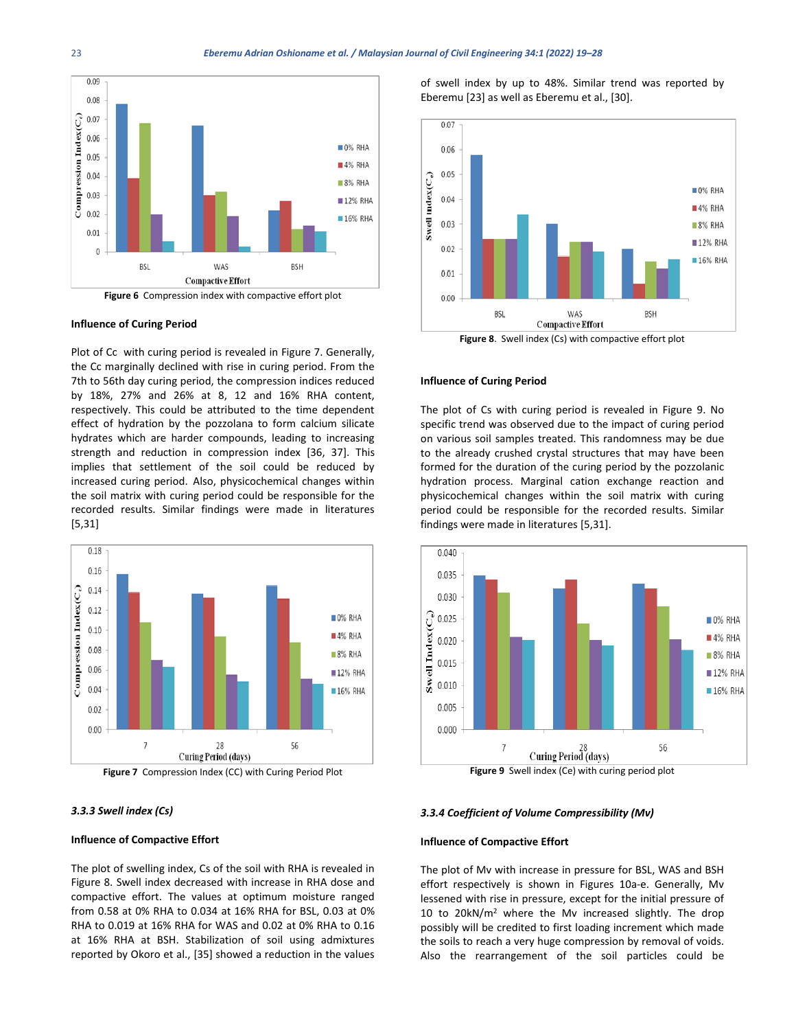

#### **Influence of Curing Period**

Plot of Cc with curing period is revealed in Figure 7. Generally, the Cc marginally declined with rise in curing period. From the 7th to 56th day curing period, the compression indices reduced by 18%, 27% and 26% at 8, 12 and 16% RHA content, respectively. This could be attributed to the time dependent effect of hydration by the pozzolana to form calcium silicate hydrates which are harder compounds, leading to increasing strength and reduction in compression index [36, 37]. This implies that settlement of the soil could be reduced by increased curing period. Also, physicochemical changes within the soil matrix with curing period could be responsible for the recorded results. Similar findings were made in literatures [5,31]





#### *3.3.3 Swell index (Cs)*

#### **Influence of Compactive Effort**

The plot of swelling index, Cs of the soil with RHA is revealed in Figure 8. Swell index decreased with increase in RHA dose and compactive effort. The values at optimum moisture ranged from 0.58 at 0% RHA to 0.034 at 16% RHA for BSL, 0.03 at 0% RHA to 0.019 at 16% RHA for WAS and 0.02 at 0% RHA to 0.16 at 16% RHA at BSH. Stabilization of soil using admixtures reported by Okoro et al., [35] showed a reduction in the values of swell index by up to 48%. Similar trend was reported by Eberemu [23] as well as Eberemu et al., [30].



#### **Figure 8**. Swell index (Cs) with compactive effort plot

#### **Influence of Curing Period**

The plot of Cs with curing period is revealed in Figure 9. No specific trend was observed due to the impact of curing period on various soil samples treated. This randomness may be due to the already crushed crystal structures that may have been formed for the duration of the curing period by the pozzolanic hydration process. Marginal cation exchange reaction and physicochemical changes within the soil matrix with curing period could be responsible for the recorded results. Similar findings were made in literatures [5,31].



**Figure 9** Swell index (Ce) with curing period plot

#### *3.3.4 Coefficient of Volume Compressibility (Mv)*

#### **Influence of Compactive Effort**

The plot of Mv with increase in pressure for BSL, WAS and BSH effort respectively is shown in Figures 10a-e. Generally, Mv lessened with rise in pressure, except for the initial pressure of 10 to 20kN/m2 where the Mv increased slightly. The drop possibly will be credited to first loading increment which made the soils to reach a very huge compression by removal of voids. Also the rearrangement of the soil particles could be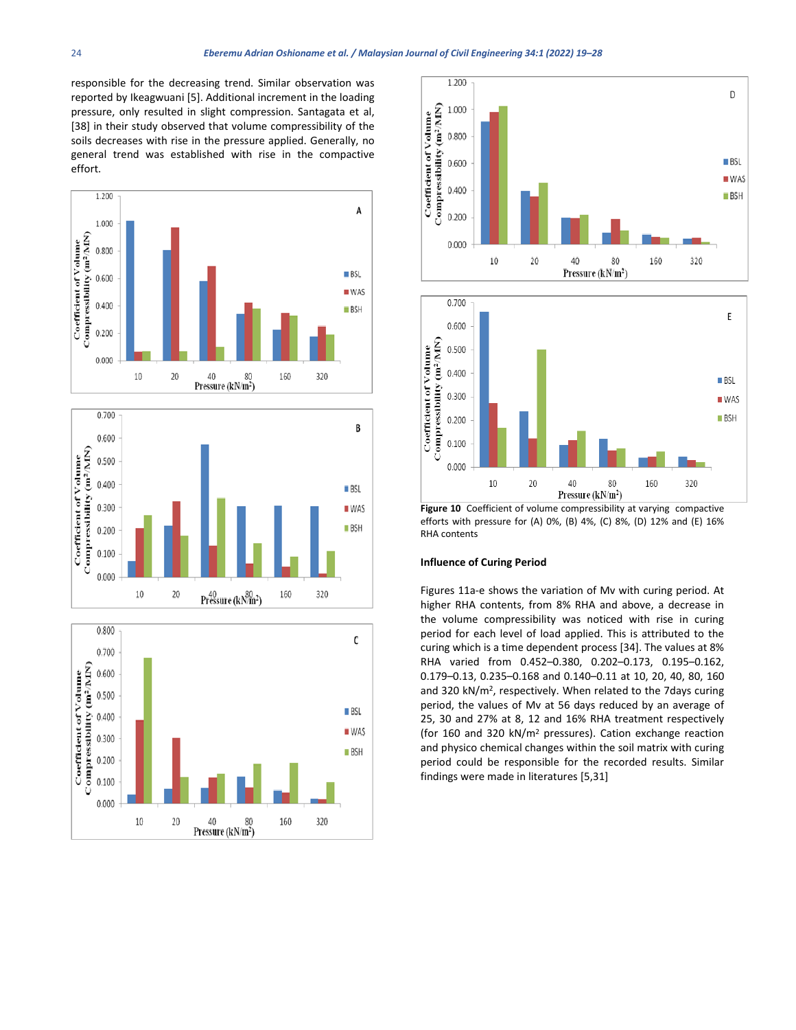responsible for the decreasing trend. Similar observation was reported by Ikeagwuani [5]. Additional increment in the loading pressure, only resulted in slight compression. Santagata et al, [38] in their study observed that volume compressibility of the soils decreases with rise in the pressure applied. Generally, no general trend was established with rise in the compactive effort.











**Figure 10** Coefficient of volume compressibility at varying compactive efforts with pressure for (A) 0%, (B) 4%, (C) 8%, (D) 12% and (E) 16% RHA contents

#### **Influence of Curing Period**

Figures 11a-e shows the variation of Mv with curing period. At higher RHA contents, from 8% RHA and above, a decrease in the volume compressibility was noticed with rise in curing period for each level of load applied. This is attributed to the curing which is a time dependent process [34]. The values at 8% RHA varied from 0.452–0.380, 0.202–0.173, 0.195–0.162, 0.179–0.13, 0.235–0.168 and 0.140–0.11 at 10, 20, 40, 80, 160 and 320 kN/m<sup>2</sup>, respectively. When related to the 7 days curing period, the values of Mv at 56 days reduced by an average of 25, 30 and 27% at 8, 12 and 16% RHA treatment respectively (for 160 and 320 kN/m2 pressures). Cation exchange reaction and physico chemical changes within the soil matrix with curing period could be responsible for the recorded results. Similar findings were made in literatures [5,31]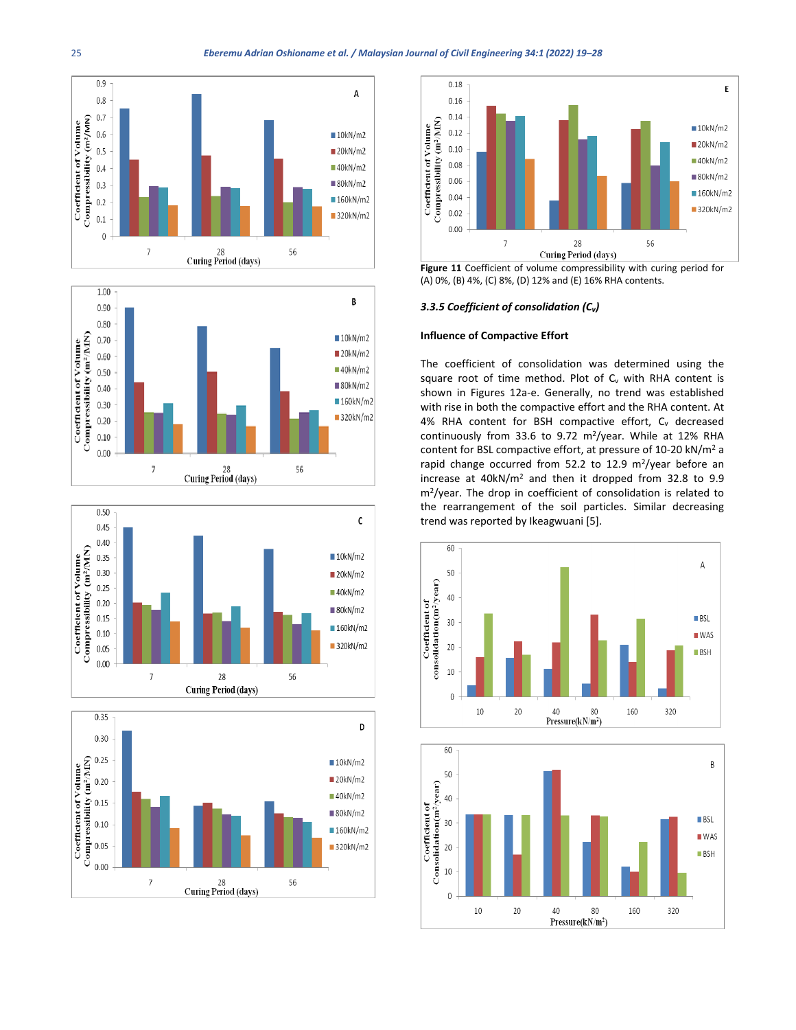









**Figure 11** Coefficient of volume compressibility with curing period for (A) 0%, (B) 4%, (C) 8%, (D) 12% and (E) 16% RHA contents.

### *3.3.5 Coefficient of consolidation (Cv)*

#### **Influence of Compactive Effort**

The coefficient of consolidation was determined using the square root of time method. Plot of  $C_v$  with RHA content is shown in Figures 12a-e. Generally, no trend was established with rise in both the compactive effort and the RHA content. At 4% RHA content for BSH compactive effort,  $C_v$  decreased continuously from 33.6 to 9.72 m<sup>2</sup>/year. While at 12% RHA content for BSL compactive effort, at pressure of 10-20 kN/m2 a rapid change occurred from 52.2 to 12.9 m<sup>2</sup>/year before an increase at 40kN/m2 and then it dropped from 32.8 to 9.9 m2/year. The drop in coefficient of consolidation is related to the rearrangement of the soil particles. Similar decreasing trend was reported by Ikeagwuani [5].



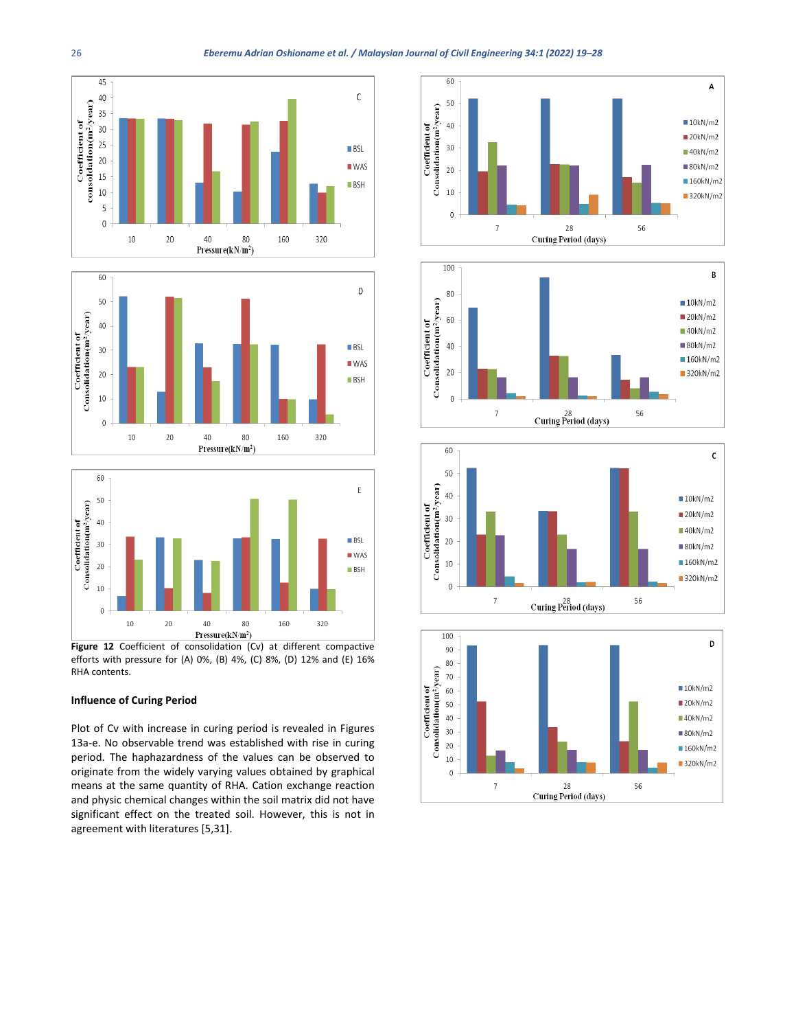



**Figure 12** Coefficient of consolidation (Cv) at different compactive efforts with pressure for (A) 0%, (B) 4%, (C) 8%, (D) 12% and (E) 16% RHA contents.

## **Influence of Curing Period**

Plot of Cv with increase in curing period is revealed in Figures 13a-e. No observable trend was established with rise in curing period. The haphazardness of the values can be observed to originate from the widely varying values obtained by graphical means at the same quantity of RHA. Cation exchange reaction and physic chemical changes within the soil matrix did not have significant effect on the treated soil. However, this is not in agreement with literatures [5,31].







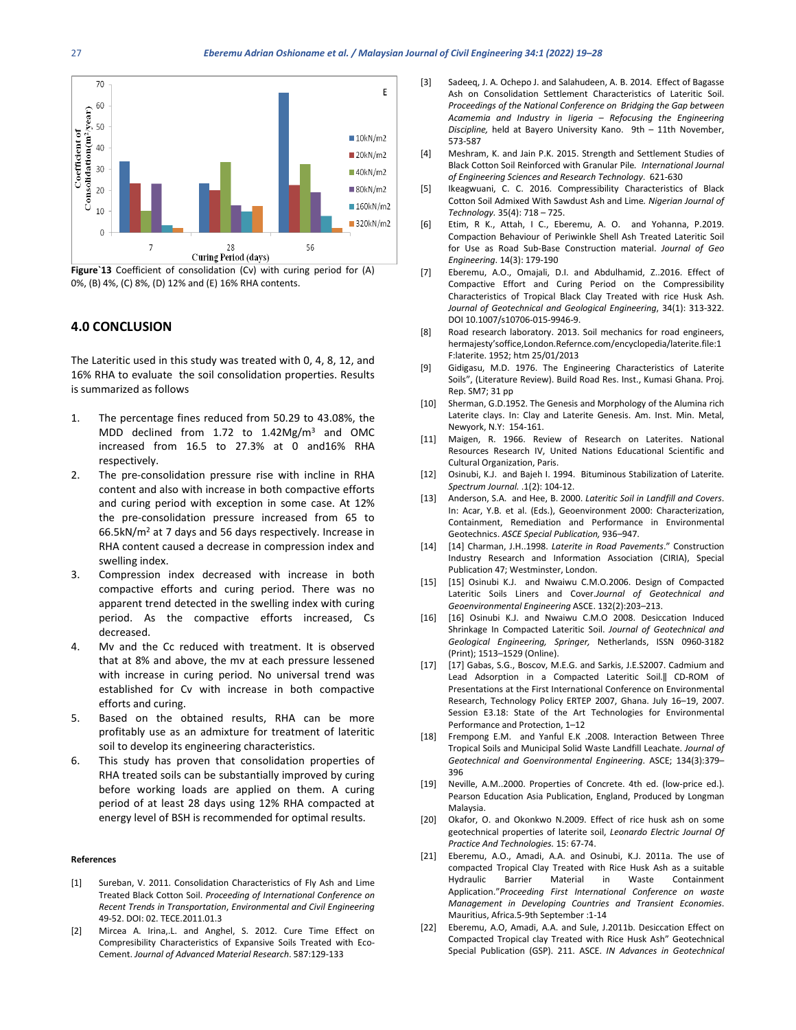

**Figure`13** Coefficient of consolidation (Cv) with curing period for (A) 0%, (B) 4%, (C) 8%, (D) 12% and (E) 16% RHA contents.

### **4.0 CONCLUSION**

The Lateritic used in this study was treated with 0, 4, 8, 12, and 16% RHA to evaluate the soil consolidation properties. Results is summarized as follows

- 1. The percentage fines reduced from 50.29 to 43.08%, the MDD declined from 1.72 to 1.42Mg/m3 and OMC increased from 16.5 to 27.3% at 0 and16% RHA respectively.
- 2. The pre-consolidation pressure rise with incline in RHA content and also with increase in both compactive efforts and curing period with exception in some case. At 12% the pre-consolidation pressure increased from 65 to 66.5kN/m2 at 7 days and 56 days respectively. Increase in RHA content caused a decrease in compression index and swelling index.
- 3. Compression index decreased with increase in both compactive efforts and curing period. There was no apparent trend detected in the swelling index with curing period. As the compactive efforts increased, Cs decreased.
- 4. Mv and the Cc reduced with treatment. It is observed that at 8% and above, the mv at each pressure lessened with increase in curing period. No universal trend was established for Cv with increase in both compactive efforts and curing.
- 5. Based on the obtained results, RHA can be more profitably use as an admixture for treatment of lateritic soil to develop its engineering characteristics.
- 6. This study has proven that consolidation properties of RHA treated soils can be substantially improved by curing before working loads are applied on them. A curing period of at least 28 days using 12% RHA compacted at energy level of BSH is recommended for optimal results.

#### **References**

- [1] Sureban, V. 2011. Consolidation Characteristics of Fly Ash and Lime Treated Black Cotton Soil. *Proceeding of International Conference on Recent Trends in Transportation*, *Environmental and Civil Engineering* 49-52. DOI: 02. TECE.2011.01.3
- [2] Mircea A. Irina,.L. and Anghel, S. 2012. Cure Time Effect on Compresibility Characteristics of Expansive Soils Treated with Eco-Cement. *Journal of Advanced Material Research*. 587:129-133
- [3] Sadeeg, J. A. Ochepo J. and Salahudeen, A. B. 2014. Effect of Bagasse Ash on Consolidation Settlement Characteristics of Lateritic Soil. *Proceedings of the National Conference on Bridging the Gap between Acamemia and Industry in Iigeria – Refocusing the Engineering Discipline,* held at Bayero University Kano. 9th – 11th November, 573-587
- [4] Meshram, K. and Jain P.K. 2015. Strength and Settlement Studies of Black Cotton Soil Reinforced with Granular Pile*. International Journal of Engineering Sciences and Research Technology*. 621-630
- [5] Ikeagwuani, C. C. 2016. Compressibility Characteristics of Black Cotton Soil Admixed With Sawdust Ash and Lime*. Nigerian Journal of Technology.* 35(4): 718 – 725.
- [6] Etim, R K., Attah, I C., Eberemu, A. O. and Yohanna, P.2019. Compaction Behaviour of Periwinkle Shell Ash Treated Lateritic Soil for Use as Road Sub-Base Construction material. *Journal of Geo Engineering*. 14(3): 179-190
- [7] Eberemu, A.O., Omajali, D.I. and Abdulhamid, Z. 2016. Effect of Compactive Effort and Curing Period on the Compressibility Characteristics of Tropical Black Clay Treated with rice Husk Ash. *Journal of Geotechnical and Geological Engineering*, 34(1): 313-322. DOI 10.1007/s10706-015-9946-9.
- [8] Road research laboratory. 2013. Soil mechanics for road engineers, hermajesty'soffice,London.Refernce.com/encyclopedia/laterite.file:1 F:laterite. 1952; htm 25/01/2013
- [9] Gidigasu, M.D. 1976. The Engineering Characteristics of Laterite Soils", (Literature Review). Build Road Res. Inst., Kumasi Ghana. Proj. Rep. SM7; 31 pp
- [10] Sherman, G.D.1952. The Genesis and Morphology of the Alumina rich Laterite clays. In: Clay and Laterite Genesis. Am. Inst. Min. Metal, Newyork, N.Y: 154-161.
- [11] Maigen, R. 1966. Review of Research on Laterites. National Resources Research IV, United Nations Educational Scientific and Cultural Organization, Paris.
- [12] Osinubi, K.J. and Bajeh I. 1994. Bituminous Stabilization of Laterite. *Spectrum Journal.* .1(2): 104-12.
- [13] Anderson, S.A. and Hee, B. 2000. *Lateritic Soil in Landfill and Covers*. In: Acar, Y.B. et al. (Eds.), Geoenvironment 2000: Characterization, Containment, Remediation and Performance in Environmental Geotechnics. *ASCE Special Publication,* 936–947.
- [14] [14] Charman, J.H..1998. *Laterite in Road Pavements*." Construction Industry Research and Information Association (CIRIA), Special Publication 47; Westminster, London.
- [15] [15] Osinubi K.J. and Nwaiwu C.M.O.2006. Design of Compacted Lateritic Soils Liners and Cover.*Journal of Geotechnical and Geoenvironmental Engineering* ASCE. 132(2):203–213.
- [16] [16] Osinubi K.J. and Nwaiwu C.M.O 2008. Desiccation Induced Shrinkage In Compacted Lateritic Soil. *Journal of Geotechnical and Geological Engineering, Springer,* Netherlands, ISSN 0960-3182 (Print); 1513–1529 (Online).
- [17] [17] Gabas, S.G., Boscov, M.E.G. and Sarkis, J.E.S2007. Cadmium and Lead Adsorption in a Compacted Lateritic Soil.‖ CD-ROM of Presentations at the First International Conference on Environmental Research, Technology Policy ERTEP 2007, Ghana. July 16–19, 2007. Session E3.18: State of the Art Technologies for Environmental Performance and Protection, 1–12
- [18] Frempong E.M. and Yanful E.K .2008. Interaction Between Three Tropical Soils and Municipal Solid Waste Landfill Leachate. *Journal of Geotechnical and Goenvironmental Engineering*. ASCE; 134(3):379– 396
- [19] Neville, A.M..2000. Properties of Concrete. 4th ed. (low-price ed.). Pearson Education Asia Publication, England, Produced by Longman Malaysia.
- [20] Okafor, O. and Okonkwo N.2009. Effect of rice husk ash on some geotechnical properties of laterite soil, *Leonardo Electric Journal Of Practice And Technologies.* 15: 67-74.
- [21] Eberemu, A.O., Amadi, A.A. and Osinubi, K.J. 2011a. The use of compacted Tropical Clay Treated with Rice Husk Ash as a suitable Hydraulic Barrier Material in Waste Containment Application."*Proceeding First International Conference on waste Management in Developing Countries and Transient Economies*. Mauritius, Africa.5-9th September :1-14
- [22] Eberemu, A.O, Amadi, A.A. and Sule, J.2011b. Desiccation Effect on Compacted Tropical clay Treated with Rice Husk Ash" Geotechnical Special Publication (GSP). 211. ASCE. *IN Advances in Geotechnical*